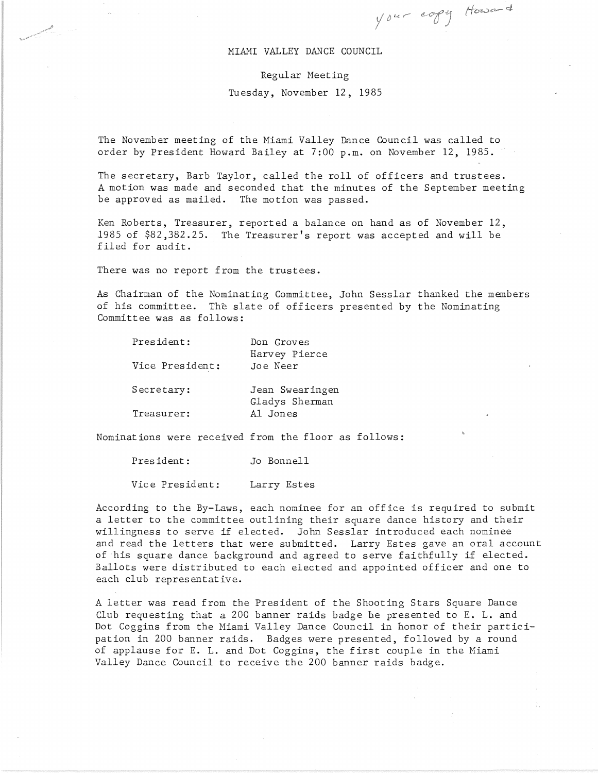## MIAMI VALLEY DANCE COUNCIL

Your copy Howard

 $\frac{1}{\epsilon_A}$ 

## Regular Meeting

## Tuesday, November 12, 1985

The November meeting of the Miami Valley Dance Council was called to order by President Howard Bailey at 7:00 p.m. on November 12, 1985. '

The secretary, Barb Taylor, called the roll of officers and trustees. A motion was made and seconded that the minutes of the September meeting be approved as mailed. The motion was passed.

Ken Roberts, Treasurer, reported a balance on hand as of November 12, 1985 of \$82,382.25. The Treasurer's report was accepted and will be filed for audit.

There was no report from the trustees.

As Chairman of the Nominating Committee, John Sesslar thanked the members of his committee. The slate of officers presented by the Nominating Committee was as follows:

| President:      | Don Groves<br>Harvey Pierce       |
|-----------------|-----------------------------------|
| Vice President: | Joe Neer                          |
| Secretary:      | Jean Swearingen<br>Gladys Sherman |
| Treasurer:      | Al Jones                          |

Nominations were received from the floor as follows:

President: Jo Bonnell

Vice President: Larry Estes

According to the By-Laws, each nominee for an office is required to submit a letter to the committee outlining their square dance history and their willingness to serve if elected. John Sesslar introduced each nominee and read the letters that were submitted. Larry Estes gave an oral account of his square dance background and agreed to serve faithfully if elected. Ballots were distributed to each elected and appointed officer and one to each club representative.

A letter was read from the President of the Shooting Stars Square Dance Club requesting that a 200 banner raids badge be presented to E. L. and Dot Coggins from the Miami Valley Dance Council in honor of their participation in 200 banner raids. Badges were presented, followed by a round of applause for E. L. and Dot Coggins, the first couple in the Miami Valley Dance Council to receive the 200 banner raids badge.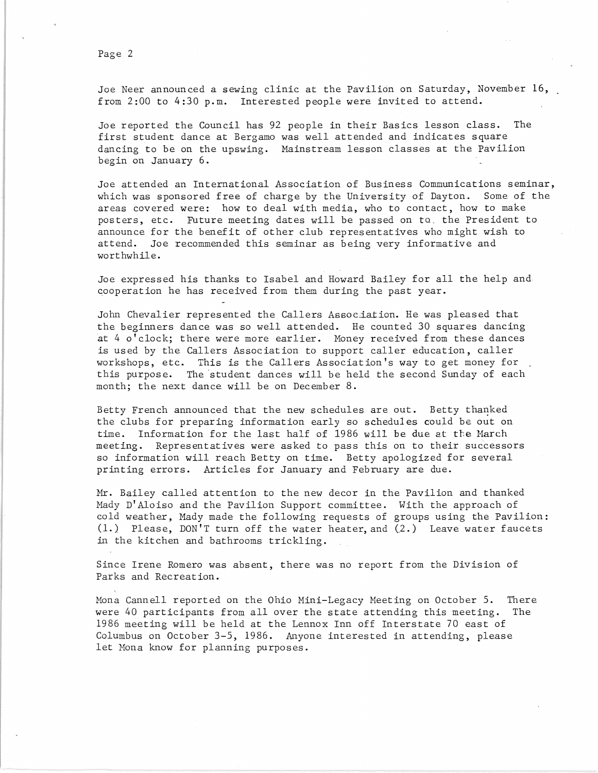Page 2

Joe Neer announced a sewing clinic at the Pavilion on Saturday, November 16, from 2:00 to 4:30 p.m. Interested people were invited to attend.

Joe reported the Council has 92 people in their Basics lesson class. The first student dance at Bergamo was well attended and indicates square dancing to be on the upswing. Mainstream lesson classes at the Pavilion begin on January 6.

Joe attended an International Association of Business Communications seminar, which was sponsored free of charge by the University of Dayton. Some of the areas covered were: how to deal with media, who to contact, how to make posters, etc. Future meeting dates will be passed on to the President to announce for the benefit of other club representatives who might wish to attend. Joe recommended this seminar as being very informative and worthwhile.

Joe expressed his thanks to Isabel and Howard Bailey for all the help and cooperation he has received from them during the past year.

John Chevalier represented the Callers Association. He was pleased that the beginners dance was so well attended. He counted 30 squares dancing at 4 o'clock; there were more earlier. Money received from these dances is used by the Callers Association to support caller education, caller workshops, etc. This is the Callers Association's way to get money for this purpose. The 'student dances will be held the second Sunday of each month; the next dance will be on December 8.

Betty French announced that the new schedules are out. Betty thanked the clubs for preparing information early so schedules could be out on time. Information for the last half of 1986 will be due at the March meeting. Representatives were asked to pass this on to their successors so information will reach Betty on time. Betty apologized for several printing errors. Articles for January and February are due.

Mr. Bailey called attention to the new decor in the Pavilion and thanked Mady D'Aloiso and the Pavilion Support committee. With the approach of cold weather, Mady made the following requests of groups using the Pavilion: (1.) Please, DON'T turn off the water heater, and (2.) Leave water faucets in the kitchen and bathrooms trickling.

Since Irene Romero was absent, there was no report from the Division of Parks and Recreation.

Mona Cannell reported on the Ohio Mini-Legacy Meeting on October 5. There were 40 participants from all over the state attending this meeting. The 1986 meeting will be held at the Lennox Inn off Interstate 70 east of Columbus on October 3-5, 1986. Anyone interested in attending, please let Mona know for planning purposes.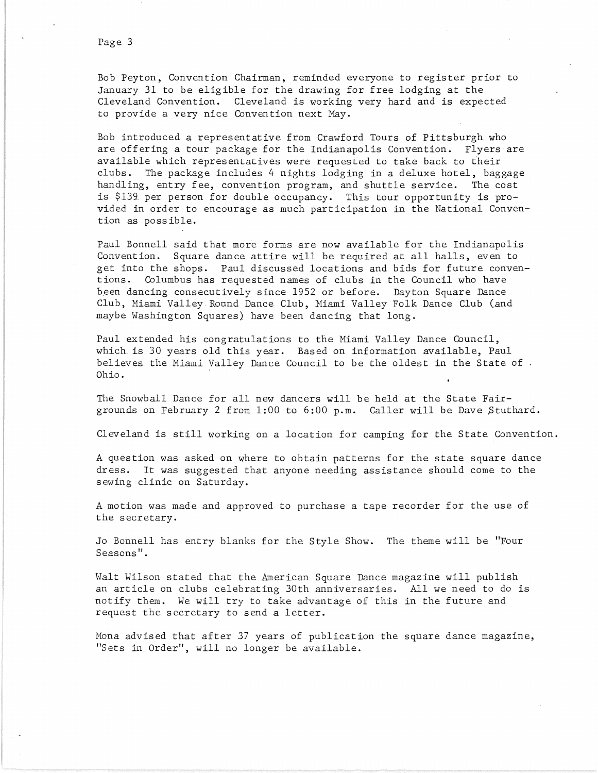Bob Peyton, Convention Chairman, reminded everyone to register prior to January 31 to be eligible for the drawing for free lodging at the Cleveland Convention. Cleveland is working very hard and is expected to provide a very nice Convention next May.

Bob introduced a representative from Crawford Tours of Pittsburgh who are offering a tour package for the Indianapolis Convention. Flyers are available which representatives were requested to take back to their clubs. The package includes 4 nights lodging in a deluxe hotel, baggage handling, entry fee, convention program, and shuttle service. The cost is \$139. per person for double occupancy. This tour opportunity is provided in order to encourage as much participation in the National Convention as possible.

Paul Bonnell said that more forms are now available for the Indianapolis Convention. Square dance attire will be required at all halls, even to get into the shops. Paul discussed locations and bids for future conventions. Columbus has requested names of clubs in the Council who have been dancing consecutively since 1952 or before. Dayton Square Dance Club, Miami Valley Round Dance Club, Miami Valley Folk Dance Club (and maybe Washington Squares) have been dancing that long.

Paul extended his congratulations to the Miami Valley Dance Council, which. is 30 years old this year. Based on information available, Paul believes the Miami Valley Dance Council to be the oldest in the State of. Ohio.

The Snowball Dance for all new dancers will be held at the State Fairgrounds on February 2 from 1:00 to 6:00 p.m. Caller will be Dave \$tuthard.

Cleveland is still working on a location for camping for the State Convention.

A question was asked on where to obtain patterns for the state square dance dress. It was suggested that anyone needing assistance should come to the sewing clinic on Saturday.

A motion was made and approved to purchase a tape recorder for the use of the secretary.

Jo Bonnell has entry blanks for the Style Show. The theme will be "Four Seasons".

Walt Wilson stated that the American Square Dance magazine wi1l publish an article on clubs celebrating 30th anniversaries. All we need to do is notify them. We will try to take advantage of this in the future and request the secretary to send a letter.

Mona advised that after 37 years of publication the square dance magazine, "Sets in Order", will no longer be available.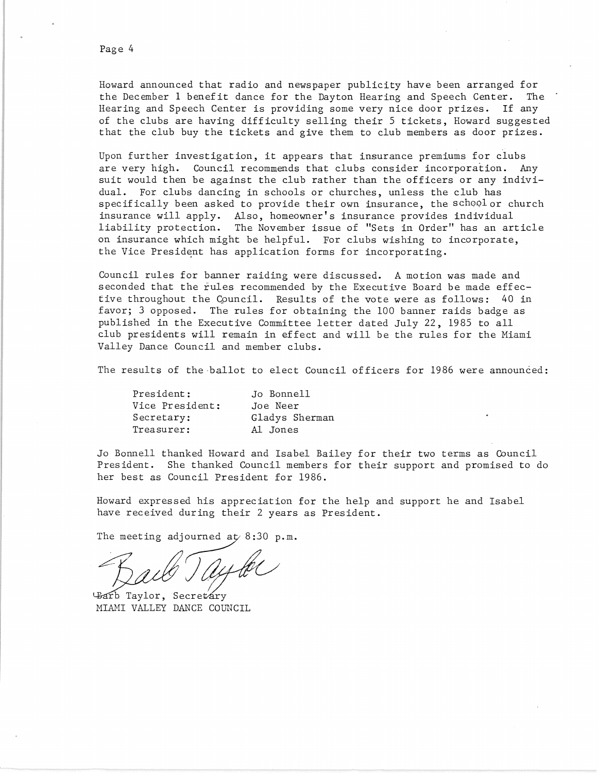Howard announced that radio and newspaper publicity have been arranged for the December 1 benefit dance for the Dayton Hearing and Speech Center. The Hearing and Speech Center is providing some very nice door prizes. If any of the clubs are having difficulty selling their 5 tickets, Howard suggested that the club buy the tickets and give them to club members as door prizes.

Upon further investigation, it appears that insurance premiums for clubs are very high. Council recommends that clubs consider incorporation. Any suit would then be against the club rather than the officers or any individual. For clubs dancing in schools or churches, unless the club has specifically been asked to provide their own insurance, the school or church insurance will apply. Also, homeowner's insurance provides individual liability protection. The November issue of "Sets in Order" has an article on insurance which might be helpful. For clubs wishing to incorporate, the Vice President has application forms for incorporating.

Council rules for banner raiding were discussed. A motion was made and seconded that the rules recommended by the Executive Board be made effective throughout the Cpuncil. Results of the vote were as follows: 40 in favor; 3 opposed. The rules for obtaining the 100 banner raids badge as published in the Executive Committee letter dated July 22, 1985 to all club presidents will remain in effect and will be the rules for the Miami Valley Dance Council and member clubs.

The results of the ballot to elect Council officers for 1986 were announced:

| President:      | Jo Bonnell     |
|-----------------|----------------|
| Vice President: | Joe Neer       |
| Secretary:      | Gladys Sherman |
| Treasurer:      | Al Jones       |

Jo Bonnell thanked Howard and Isabel Bailey for their two terms as Council President. She thanked Council members for their support and promised to do her best as Council President for 1986.

Howard expressed his appreciation for the help and support he and Isabel have received during their 2 years as President.

The meeting adjourned  $ay 8:30 p.m.$ 

Barb Taylor, Secretary MIAMI VALLEY DANCE COUNCIL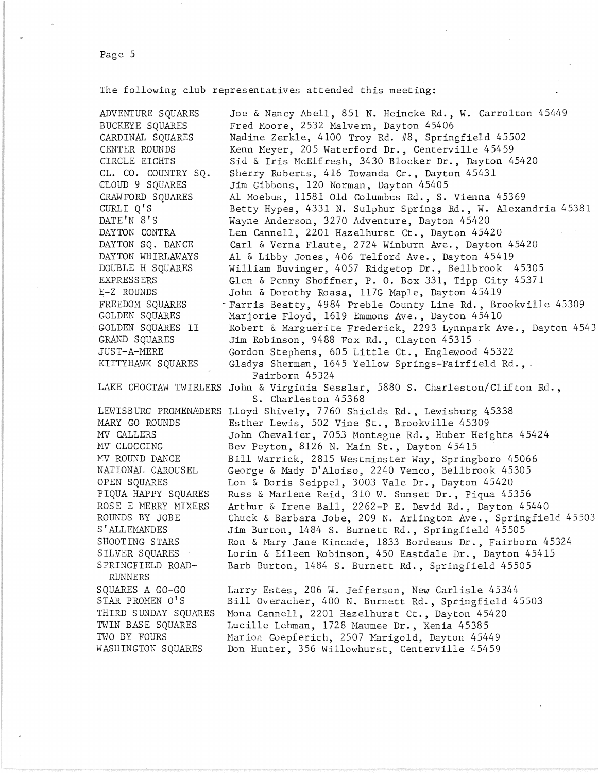The following club representatives attended this meeting:

ADVENTURE SQUARES BUCKEYE SQUARES CARDINAL SQUARES CENTER ROUNDS CIRCLE EIGHTS CL. CO. COUNTRY SQ. CLOUD 9 SQUARES CRAWFORD SQUARES CURLI Q'S DATE'N 8'S DAYTON CONTRA DAYTON SQ. DANCE DAYTON WHIRLAWAYS DOUBLE H SQUARES EXPRESSERS E-Z ROUNDS FREEDON SQUARES GOLDEN SQUARES GOLDEN SQUARES II GRAND SQUARES JUST-A-NERE KITTYHAWK SQUARES

NARY GO ROUNDS lW CALLERS MV CLOGGING MV ROUND DANCE NATIONAL CAROUSEL OPEN SQUARES PIQUA HAPPY SQUARES ROSE E MERRY MIXERS ROUNDS BY JOBE S ' ALLEMANDES SHOOTING STARS SILVER SQUARES SPRINGFIELD ROAD-RUNNERS SQUARES A GO-GO STAR PROMEN 0' S THIRD SUNDAY SQUARES TWIN BASE SQUARES TWO BY FOURS

WASHINGTON SQUARES

LAKE CHOCTAW TWIRLERS John & Virginia Sesslar, 5880 S. Charleston/Clifton Rd., LEWISBURG PROMENADERS Lloyd Shively, 7760 Shields Rd., Lewisburg 45338 Joe & Nancy Abell, 851 N. Heincke Rd., W. Carrolton 45449 Fred Moore, 2532 Malvern, Dayton 45406 Nadine Zerkle, 4100 Troy Rd. #8, Springfield 45502 Kenn Meyer, 205 Waterford Dr., Centerville 45459 Sid & Iris McElfresh, 3430 Blocker Dr., Dayton 45420 Sherry Roberts, 416 Towanda Cr., Dayton 45431 Jim Gibbons, 120 Norman, Dayton 45405 Al Moebus, 11581 Old Columbus Rd., S. Vienna 45369 Betty Hypes, 4331 N. Sulphur Springs Rd., W. Alexandria 45381 Wayne Anderson, 3270 Adventure, Dayton 45420 Len Cannell, 2201 Hazelhurst Ct., Dayton 45420 Carl & Verna Flaute, 2724 Winburn Ave., Dayton 45420 Al & Libby Jones, 406 Telford Ave., Dayton 45419 William Buvinger, 4057 Ridgetop Dr., Bellbrook 45305 Glen & Penny Shoffner, P. O. Box 331, Tipp City 45371 John & Dorothy Roasa, 117G Maple, Dayton 45419 ~Farris Beatty, 4984 Preble County Line Rd., Brookville 45309 Marjorie Floyd, 1619 Emmons Ave., Dayton 45410 Robert & Marguerite Frederick, 2293 Lynnpark Ave., Dayton 4543 Jim Robinson, 9488 Fox Rd., Clayton 45315 Gordon Stephens, 605 Little Ct., Englewood 45322 Gladys Sherman, 1645 Yellow Springs-Fairfield Rd.,. Fairborn 45324 S. Charleston 45368 Esther Lewis, 502 Vine St., Brookville 45309 John Chevalier, 7053 Montague Rd., Huber Heights 45424 Bev Peyton, 8126 N. Main St., Dayton 45415 Bill Warrick, 2815 Westminster Way, Springboro 45066 George & Mady D'Aloiso, 2240 Vemco, Bellbrook 45305 Lon & Doris Seippel, 3003 Vale Dr., Dayton 45420 Russ & Marlene Reid, 310 W. Sunset Dr., Piqua 45356 Arthur & Irene Ball, 2262-P E. David Rd., Dayton 45440 Chuck & Barbara Jobe, 209 N. Arlington Ave., Springfield 45503 Jim Burton, 1484 S. Burnett Rd., Springfield 45505 Ron & Mary Jane Kincade, 1833 Bordeaus Dr., Fairborn 45324 Lorin & Eileen Robinson, 450 Eastdale Dr., Dayton 45415 Barb Burton, 1484 S. Burnett Rd., Springfield 45505

> Larry Estes, 206 W. Jefferson, New Carlisle 45344 Bill Overacher, 400 N. Burnett Rd., Springfield 45503 Nona Cannell, 2201 Hazelhurst Ct., Dayton 45420 Lucille Lehman, 1728 Haumee Dr., Xenia 45385 Marion Goepferich, 2507 Marigold, Dayton 45449 Don Hunter, 356 Willowhurst, Centerville 45459